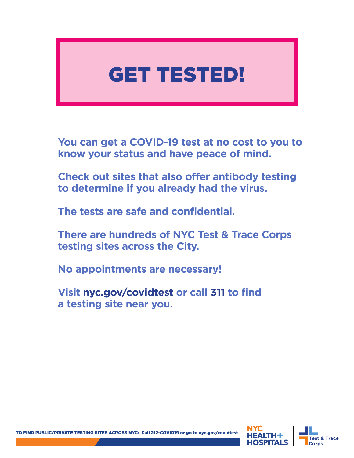# GET TESTED!

**You can get a COVID-19 test at no cost to you to know your status and have peace of mind.**

**Check out sites that also offer antibody testing to determine if you already had the virus.** 

**The tests are safe and confidential.** 

**There are hundreds of NYC Test & Trace Corps testing sites across the City.**

**No appointments are necessary!** 

**Visit nyc.gov/covidtest or call 311 to find a testing site near you.**

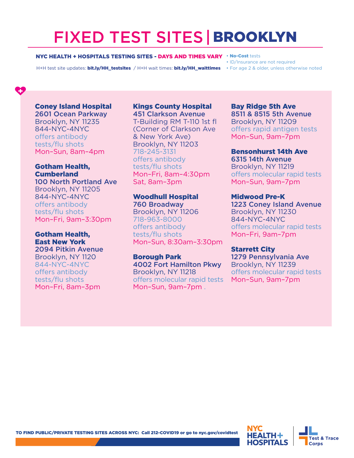## FIXED TEST SITES| BROOKLYN

#### NYC HEALTH + HOSPITALS TESTING SITES - DAYS AND TIMES VARY

H+H test site updates: bit.ly/HH\_testsites / H+H wait times: bit.ly/HH\_waittimes • For age 2 & older, unless otherwise noted

- No-Cost tests
- ID/Insurance are not required
- 

#### Coney Island Hospital

2601 Ocean Parkway Brooklyn, NY 11235 844-NYC-4NYC offers antibody tests/flu shots Mon–Sun, 8am–4pm

#### Gotham Health, **Cumberland**

100 North Portland Ave Brooklyn, NY 11205 844-NYC-4NYC offers antibody tests/flu shots Mon–Fri, 9am–3:30pm

#### Gotham Health, East New York

2094 Pitkin Avenue Brooklyn, NY 1120 844-NYC-4NYC offers antibody tests/flu shots Mon–Fri, 8am–3pm

## Kings County Hospital

451 Clarkson Avenue T-Building RM T-110 1st fl (Corner of Clarkson Ave & New York Ave) Brooklyn, NY 11203 718-245-3131 offers antibody tests/flu shots Mon–Fri, 8am–4:30pm Sat, 8am–3pm

#### Woodhull Hospital 760 Broadway

Brooklyn, NY 11206 718-963-8000 offers antibody tests/flu shots Mon–Sun, 8:30am–3:30pm

#### Borough Park

4002 Fort Hamilton Pkwy Brooklyn, NY 11218 offers molecular rapid tests Mon–Sun, 9am–7pm .

### Bay Ridge 5th Ave 8511 & 8515 5th Avenue Brooklyn, NY 11209

offers rapid antigen tests Mon–Sun, 9am–7pm

#### Bensonhurst 14th Ave

6315 14th Avenue Brooklyn, NY 11219 offers molecular rapid tests Mon–Sun, 9am–7pm

#### Midwood Pre-K

1223 Coney Island Avenue Brooklyn, NY 11230 844-NYC-4NYC offers molecular rapid tests Mon–Fri, 9am–7pm

#### Starrett City

1279 Pennsylvania Ave Brooklyn, NY 11239 offers molecular rapid tests Mon–Sun, 9am–7pm

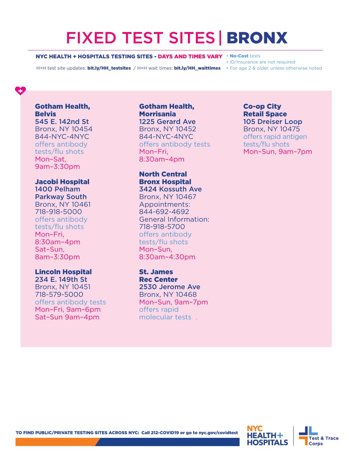## FIXED TEST SITES| BRONX

#### NYC HEALTH + HOSPITALS TESTING SITES - DAYS AND TIMES VARY • No-Cost tests

H+H test site updates: bit.ly/HH\_testsites / H+H wait times: bit.ly/HH\_waittimes • For age 2 & older, unless otherwise noted

• ID/Insurance are not required

#### Gotham Health, **Belvis** 545 E. 142nd St

Bronx, NY 10454 844-NYC-4NYC offers antibody tests/flu shots Mon–Sat, 9am–3:30pm

### Jacobi Hospital

1400 Pelham Parkway South Bronx, NY 10461 718-918-5000 offers antibody tests/flu shots Mon–Fri, 8:30am–4pm Sat–Sun, 8am–3:30pm

#### Lincoln Hospital

234 E. 149th St Bronx, NY 10451 718-579-5000 offers antibody tests Mon–Fri, 9am–6pm Sat–Sun 9am–4pm

#### Gotham Health, **Morrisania** 1225 Gerard Ave Bronx, NY 10452 844-NYC-4NYC offers antibody tests Mon–Fri, 8:30am–4pm

North Central Bronx Hospital 3424 Kossuth Ave

Bronx, NY 10467 Appointments: 844-692-4692 General Information: 718-918-5700 offers antibody tests/flu shots Mon–Sun, 8:30am–4:30pm

St. James Rec Center 2530 Jerome Ave Bronx, NY 10468 Mon–Sun, 9am–7pm offers rapid molecular tests .

#### Co-op City Retail Space 105 Dreiser Loop Bronx, NY 10475 offers rapid antigen tests/flu shots

Mon–Sun, 9am–7pm

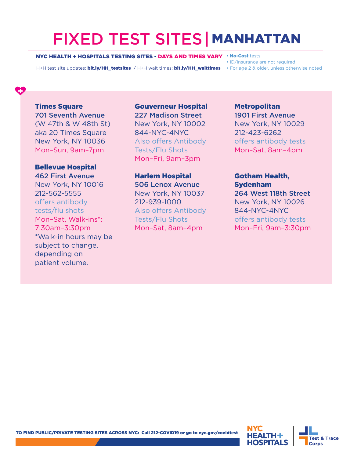## FIXED TEST SITES| MANHATTAN

#### NYC HEALTH + HOSPITALS TESTING SITES - DAYS AND TIMES VARY • No-Cost tests

H+H test site updates: bit.ly/HH\_testsites / H+H wait times: bit.ly/HH\_waittimes • For age 2 & older, unless otherwise noted

• ID/Insurance are not required

#### **Times Square** 701 Seventh Avenue

(W 47th & W 48th St) aka 20 Times Square New York, NY 10036 Mon–Sun, 9am–7pm

#### Bellevue Hospital 462 First Avenue

New York, NY 10016 212-562-5555 offers antibody tests/flu shots Mon–Sat, Walk-ins\*: 7:30am–3:30pm \*Walk-in hours may be subject to change, depending on patient volume.

### Gouverneur Hospital 227 Madison Street New York, NY 10002 844-NYC-4NYC Also offers Antibody Tests/Flu Shots

Mon–Fri, 9am–3pm

Harlem Hospital 506 Lenox Avenue New York, NY 10037 212-939-1000 Also offers Antibody Tests/Flu Shots Mon–Sat, 8am–4pm

### Metropolitan 1901 First Avenue New York, NY 10029 212-423-6262 offers antibody tests Mon–Sat, 8am–4pm

### Gotham Health, Sydenham 264 West 118th Street New York, NY 10026

844-NYC-4NYC offers antibody tests Mon–Fri, 9am–3:30pm

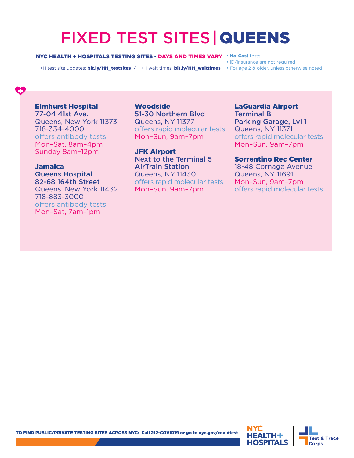## FIXED TEST SITES|QUEENS

#### NYC HEALTH + HOSPITALS TESTING SITES - DAYS AND TIMES VARY • No-Cost tests

H+H test site updates: bit.ly/HH\_testsites / H+H wait times: bit.ly/HH\_waittimes • For age 2 & older, unless otherwise noted

• ID/Insurance are not required

#### Elmhurst Hospital

77-04 41st Ave. Queens, New York 11373 718-334-4000 offers antibody tests Mon–Sat, 8am–4pm Sunday 8am–12pm

#### Jamaica Queens Hospital 82-68 164th Street

Queens, New York 11432 718-883-3000 offers antibody tests Mon–Sat, 7am–1pm

**Woodside** 51-30 Northern Blvd Queens, NY 11377 offers rapid molecular tests Mon–Sun, 9am–7pm

JFK Airport Next to the Terminal 5 AirTrain Station Queens, NY 11430 offers rapid molecular tests Mon–Sun, 9am–7pm

LaGuardia Airport Terminal B Parking Garage, Lvl 1 Queens, NY 11371 offers rapid molecular tests Mon–Sun, 9am–7pm

#### Sorrentino Rec Center

18-48 Cornaga Avenue Queens, NY 11691 Mon–Sun, 9am–7pm offers rapid molecular tests

TO FIND PUBLIC/PRIVATE TESTING SITES ACROSS NYC: Call 212-COVID19 or go to nyc.gov/covidtest